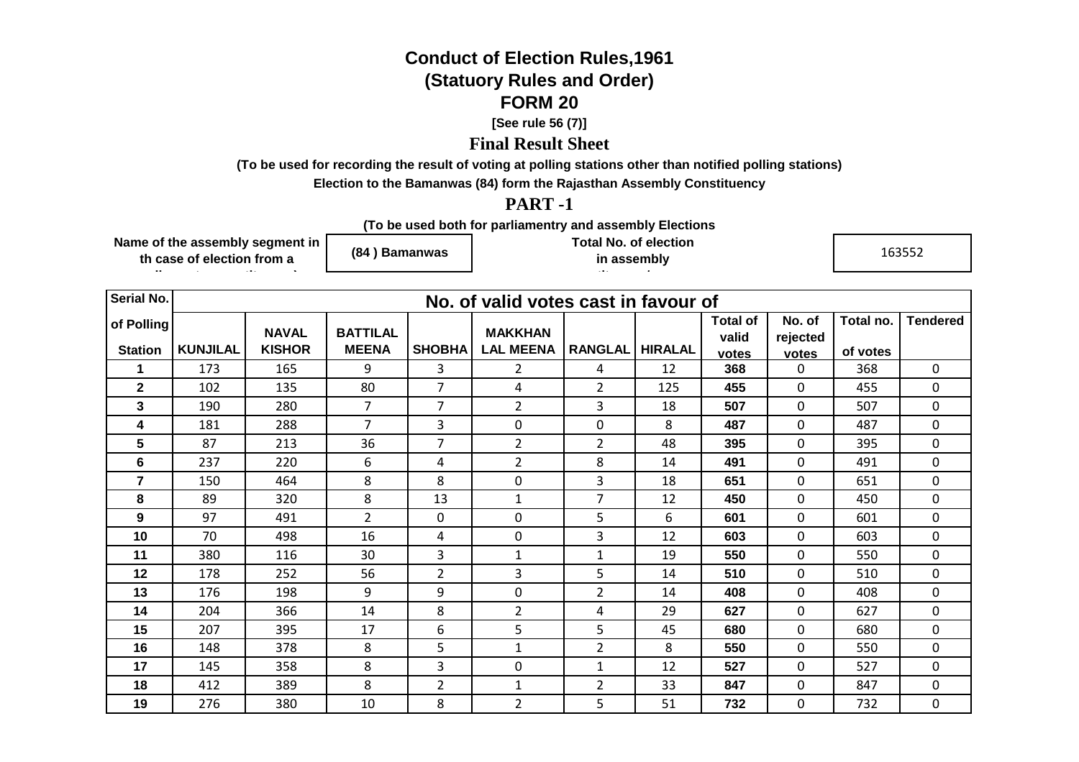## **Conduct of Election Rules,1961(Statuory Rules and Order)FORM 20**

**[See rule 56 (7)]**

## **Final Result Sheet**

**(To be used for recording the result of voting at polling stations other than notified polling stations)**

**Election to the Bamanwas (84) form the Rajasthan Assembly Constituency**

## **PART -1**

**(To be used both for parliamentry and assembly Elections**

**Name of the assembly segment in th case of election from a** 

**parliamentry constituency)**

**(84 ) Bamanwas**

**Total No. of election in assembly** 

**constituency/segmen**

163552

| Serial No.     |                 |               |                 |                | No. of valid votes cast in favour of |                |                |                 |                |           |                 |
|----------------|-----------------|---------------|-----------------|----------------|--------------------------------------|----------------|----------------|-----------------|----------------|-----------|-----------------|
| of Polling     |                 | <b>NAVAL</b>  | <b>BATTILAL</b> |                | <b>MAKKHAN</b>                       |                |                | <b>Total of</b> | No. of         | Total no. | <b>Tendered</b> |
| <b>Station</b> | <b>KUNJILAL</b> | <b>KISHOR</b> | <b>MEENA</b>    | <b>SHOBHA</b>  | <b>LAL MEENA</b>                     | <b>RANGLAL</b> | <b>HIRALAL</b> | valid           | rejected       | of votes  |                 |
|                |                 |               |                 |                |                                      |                |                | votes           | votes          |           |                 |
| 1              | 173             | 165           | 9               | 3              | 2                                    | 4              | 12             | 368             | 0              | 368       | 0               |
| $\mathbf{2}$   | 102             | 135           | 80              | $\overline{7}$ | 4                                    | $\overline{2}$ | 125            | 455             | $\mathbf 0$    | 455       | 0               |
| 3              | 190             | 280           | 7               | $\overline{7}$ | $\overline{2}$                       | 3              | 18             | 507             | 0              | 507       | 0               |
| 4              | 181             | 288           | $\overline{7}$  | 3              | 0                                    | 0              | 8              | 487             | $\mathbf 0$    | 487       | 0               |
| 5              | 87              | 213           | 36              | $\overline{7}$ | $\overline{2}$                       | $\overline{2}$ | 48             | 395             | $\mathbf 0$    | 395       | 0               |
| 6              | 237             | 220           | 6               | 4              | $\overline{2}$                       | 8              | 14             | 491             | $\Omega$       | 491       | 0               |
| $\overline{7}$ | 150             | 464           | 8               | 8              | 0                                    | 3              | 18             | 651             | $\mathbf 0$    | 651       | 0               |
| 8              | 89              | 320           | 8               | 13             | 1                                    | $\overline{7}$ | 12             | 450             | $\mathbf 0$    | 450       | 0               |
| 9              | 97              | 491           | $\overline{2}$  | $\mathbf 0$    | 0                                    | 5              | 6              | 601             | $\mathbf 0$    | 601       | 0               |
| 10             | 70              | 498           | 16              | 4              | 0                                    | 3              | 12             | 603             | $\mathbf 0$    | 603       | 0               |
| 11             | 380             | 116           | 30              | 3              | 1                                    | $\mathbf{1}$   | 19             | 550             | $\mathbf 0$    | 550       | 0               |
| 12             | 178             | 252           | 56              | $\overline{2}$ | 3                                    | 5              | 14             | 510             | $\overline{0}$ | 510       | 0               |
| 13             | 176             | 198           | 9               | 9              | 0                                    | $\overline{2}$ | 14             | 408             | 0              | 408       | 0               |
| 14             | 204             | 366           | 14              | 8              | 2                                    | 4              | 29             | 627             | $\Omega$       | 627       | 0               |
| 15             | 207             | 395           | 17              | 6              | 5                                    | 5              | 45             | 680             | $\mathbf 0$    | 680       | 0               |
| 16             | 148             | 378           | 8               | 5              | $\mathbf{1}$                         | $\overline{2}$ | 8              | 550             | $\mathbf 0$    | 550       | $\mathbf 0$     |
| 17             | 145             | 358           | 8               | 3              | 0                                    | $\mathbf{1}$   | 12             | 527             | 0              | 527       | 0               |
| 18             | 412             | 389           | 8               | $\overline{2}$ | 1                                    | $\overline{2}$ | 33             | 847             | 0              | 847       | 0               |
| 19             | 276             | 380           | 10              | 8              | $\overline{2}$                       | 5              | 51             | 732             | $\mathbf 0$    | 732       | 0               |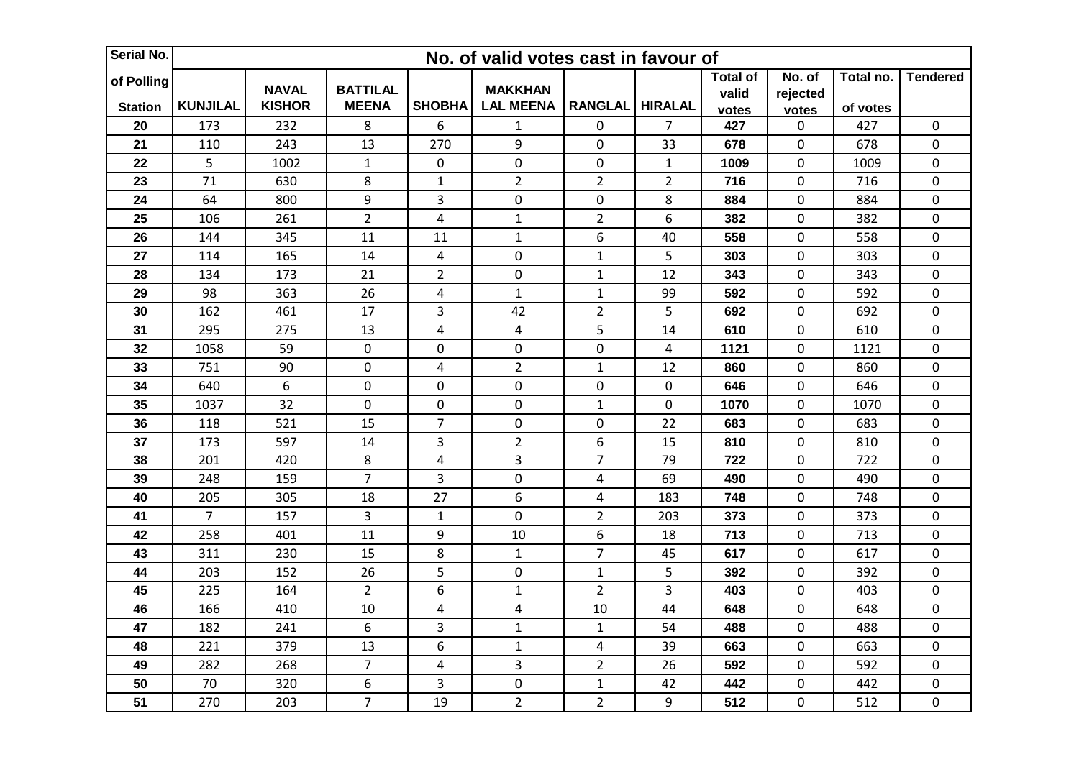| Serial No.                   | No. of valid votes cast in favour of |                               |                                 |                         |                                    |                  |                  |                                   |                             |                       |                  |  |
|------------------------------|--------------------------------------|-------------------------------|---------------------------------|-------------------------|------------------------------------|------------------|------------------|-----------------------------------|-----------------------------|-----------------------|------------------|--|
| of Polling<br><b>Station</b> | <b>KUNJILAL</b>                      | <b>NAVAL</b><br><b>KISHOR</b> | <b>BATTILAL</b><br><b>MEENA</b> | <b>SHOBHA</b>           | <b>MAKKHAN</b><br><b>LAL MEENA</b> | <b>RANGLAL</b>   | <b>HIRALAL</b>   | <b>Total of</b><br>valid<br>votes | No. of<br>rejected<br>votes | Total no.<br>of votes | <b>Tendered</b>  |  |
| 20                           | 173                                  | 232                           | $\bf 8$                         | 6                       | $\mathbf 1$                        | $\mathbf 0$      | $\overline{7}$   | 427                               | 0                           | 427                   | $\mathbf 0$      |  |
| 21                           | 110                                  | 243                           | 13                              | 270                     | 9                                  | $\boldsymbol{0}$ | 33               | 678                               | 0                           | 678                   | $\pmb{0}$        |  |
| 22                           | 5                                    | 1002                          | $\mathbf{1}$                    | 0                       | $\boldsymbol{0}$                   | $\boldsymbol{0}$ | $\mathbf{1}$     | 1009                              | 0                           | 1009                  | $\boldsymbol{0}$ |  |
| 23                           | 71                                   | 630                           | 8                               | $\mathbf{1}$            | $\overline{2}$                     | $\overline{2}$   | $\overline{2}$   | 716                               | 0                           | 716                   | $\pmb{0}$        |  |
| 24                           | 64                                   | 800                           | 9                               | 3                       | $\pmb{0}$                          | $\boldsymbol{0}$ | 8                | 884                               | 0                           | 884                   | $\pmb{0}$        |  |
| 25                           | 106                                  | 261                           | $\overline{2}$                  | $\overline{4}$          | $\mathbf 1$                        | $\overline{2}$   | 6                | 382                               | 0                           | 382                   | $\pmb{0}$        |  |
| 26                           | 144                                  | 345                           | 11                              | 11                      | $\mathbf 1$                        | 6                | 40               | 558                               | 0                           | 558                   | $\boldsymbol{0}$ |  |
| 27                           | 114                                  | 165                           | 14                              | 4                       | $\mathbf 0$                        | $\mathbf 1$      | 5                | 303                               | 0                           | 303                   | $\boldsymbol{0}$ |  |
| 28                           | 134                                  | 173                           | 21                              | $\overline{2}$          | $\mathbf 0$                        | $\mathbf{1}$     | 12               | 343                               | 0                           | 343                   | $\mathbf 0$      |  |
| 29                           | 98                                   | 363                           | 26                              | 4                       | $\mathbf 1$                        | $\mathbf 1$      | 99               | 592                               | 0                           | 592                   | $\mathbf 0$      |  |
| 30                           | 162                                  | 461                           | 17                              | 3                       | 42                                 | $\overline{2}$   | 5                | 692                               | 0                           | 692                   | $\pmb{0}$        |  |
| 31                           | 295                                  | 275                           | 13                              | 4                       | $\overline{4}$                     | 5                | 14               | 610                               | 0                           | 610                   | $\pmb{0}$        |  |
| 32                           | 1058                                 | 59                            | $\pmb{0}$                       | $\mathbf 0$             | $\pmb{0}$                          | $\mathbf 0$      | 4                | 1121                              | 0                           | 1121                  | $\mathbf 0$      |  |
| 33                           | 751                                  | 90                            | $\mathbf 0$                     | 4                       | $\overline{2}$                     | $\mathbf 1$      | 12               | 860                               | 0                           | 860                   | $\pmb{0}$        |  |
| 34                           | 640                                  | $6\,$                         | $\pmb{0}$                       | 0                       | $\mathbf 0$                        | $\boldsymbol{0}$ | $\pmb{0}$        | 646                               | 0                           | 646                   | $\boldsymbol{0}$ |  |
| 35                           | 1037                                 | 32                            | $\pmb{0}$                       | $\pmb{0}$               | $\mathbf 0$                        | $\mathbf 1$      | $\boldsymbol{0}$ | 1070                              | 0                           | 1070                  | $\pmb{0}$        |  |
| 36                           | 118                                  | 521                           | 15                              | $\overline{7}$          | $\pmb{0}$                          | $\mathbf 0$      | 22               | 683                               | 0                           | 683                   | $\pmb{0}$        |  |
| 37                           | 173                                  | 597                           | 14                              | 3                       | $\overline{2}$                     | 6                | 15               | 810                               | 0                           | 810                   | $\pmb{0}$        |  |
| 38                           | 201                                  | 420                           | 8                               | 4                       | 3                                  | $\overline{7}$   | 79               | 722                               | 0                           | 722                   | $\boldsymbol{0}$ |  |
| 39                           | 248                                  | 159                           | $\overline{7}$                  | $\overline{\mathbf{3}}$ | $\pmb{0}$                          | $\pmb{4}$        | 69               | 490                               | 0                           | 490                   | $\pmb{0}$        |  |
| 40                           | 205                                  | 305                           | 18                              | 27                      | 6                                  | 4                | 183              | 748                               | 0                           | 748                   | $\pmb{0}$        |  |
| 41                           | $\overline{7}$                       | 157                           | $\overline{3}$                  | $\mathbf{1}$            | $\overline{0}$                     | $\overline{2}$   | 203              | 373                               | 0                           | 373                   | $\mathbf 0$      |  |
| 42                           | 258                                  | 401                           | 11                              | 9                       | 10                                 | 6                | 18               | 713                               | 0                           | 713                   | $\pmb{0}$        |  |
| 43                           | 311                                  | 230                           | 15                              | 8                       | $1\,$                              | $\overline{7}$   | 45               | 617                               | 0                           | 617                   | $\pmb{0}$        |  |
| 44                           | 203                                  | 152                           | 26                              | 5                       | $\mathbf 0$                        | $\mathbf{1}$     | 5                | 392                               | 0                           | 392                   | $\mathbf 0$      |  |
| 45                           | 225                                  | 164                           | $\overline{2}$                  | 6                       | $\mathbf 1$                        | $\overline{2}$   | 3                | 403                               | 0                           | 403                   | $\pmb{0}$        |  |
| 46                           | 166                                  | 410                           | 10                              | 4                       | $\pmb{4}$                          | 10               | 44               | 648                               | 0                           | 648                   | $\mathbf 0$      |  |
| 47                           | 182                                  | 241                           | 6                               | 3                       | $\mathbf 1$                        | $\mathbf 1$      | 54               | 488                               | 0                           | 488                   | $\pmb{0}$        |  |
| 48                           | 221                                  | 379                           | 13                              | 6                       | $\mathbf 1$                        | $\pmb{4}$        | 39               | 663                               | 0                           | 663                   | $\pmb{0}$        |  |
| 49                           | 282                                  | 268                           | $\overline{7}$                  | $\overline{4}$          | 3                                  | $\overline{2}$   | 26               | 592                               | 0                           | 592                   | $\boldsymbol{0}$ |  |
| 50                           | 70                                   | 320                           | 6                               | 3                       | $\pmb{0}$                          | $\mathbf 1$      | 42               | 442                               | 0                           | 442                   | $\boldsymbol{0}$ |  |
| 51                           | 270                                  | 203                           | $\overline{7}$                  | 19                      | $\overline{2}$                     | $\overline{2}$   | 9                | 512                               | 0                           | 512                   | $\boldsymbol{0}$ |  |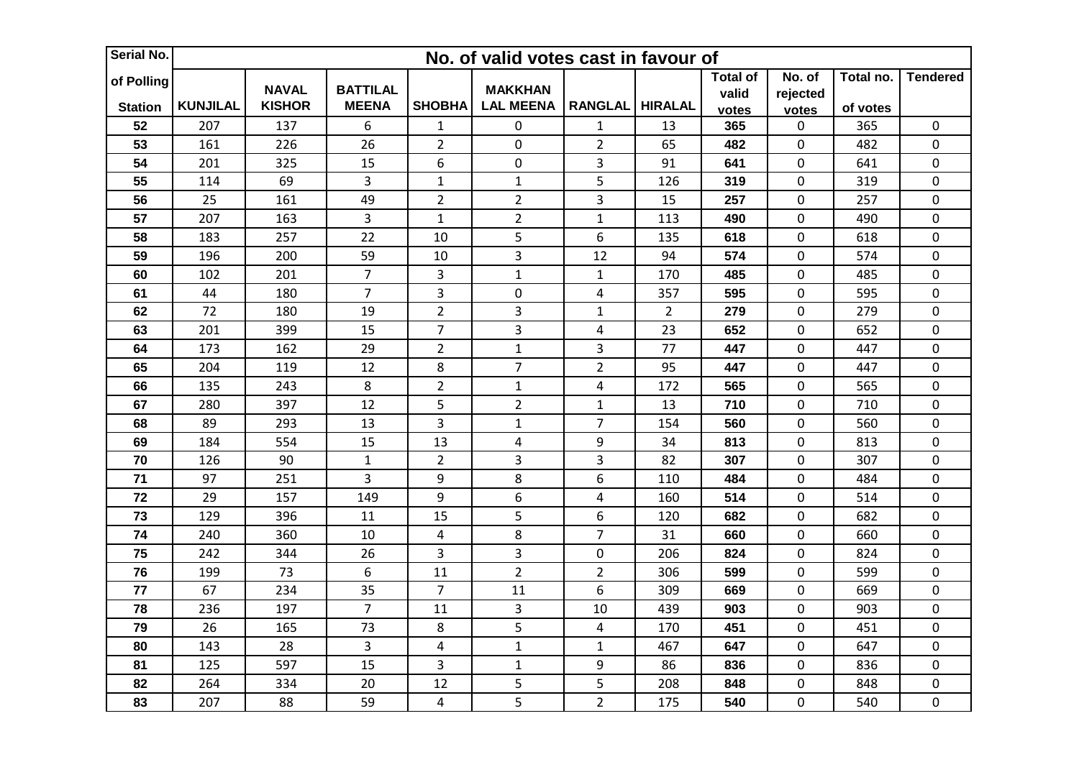| Serial No.                   |                 | No. of valid votes cast in favour of |                                 |                  |                                    |                |                |                                   |                             |                       |                  |  |  |
|------------------------------|-----------------|--------------------------------------|---------------------------------|------------------|------------------------------------|----------------|----------------|-----------------------------------|-----------------------------|-----------------------|------------------|--|--|
| of Polling<br><b>Station</b> | <b>KUNJILAL</b> | <b>NAVAL</b><br><b>KISHOR</b>        | <b>BATTILAL</b><br><b>MEENA</b> | <b>SHOBHA</b>    | <b>MAKKHAN</b><br><b>LAL MEENA</b> | <b>RANGLAL</b> | <b>HIRALAL</b> | <b>Total of</b><br>valid<br>votes | No. of<br>rejected<br>votes | Total no.<br>of votes | <b>Tendered</b>  |  |  |
| 52                           | 207             | 137                                  | 6                               | $\mathbf{1}$     | $\pmb{0}$                          | $\mathbf{1}$   | 13             | 365                               | 0                           | 365                   | $\mathbf 0$      |  |  |
| 53                           | 161             | 226                                  | 26                              | $\overline{2}$   | $\pmb{0}$                          | $\overline{2}$ | 65             | 482                               | 0                           | 482                   | $\pmb{0}$        |  |  |
| 54                           | 201             | 325                                  | 15                              | $\boldsymbol{6}$ | $\mathbf 0$                        | $\mathbf{3}$   | 91             | 641                               | 0                           | 641                   | $\boldsymbol{0}$ |  |  |
| 55                           | 114             | 69                                   | 3                               | $\mathbf{1}$     | $\mathbf 1$                        | 5              | 126            | 319                               | 0                           | 319                   | $\pmb{0}$        |  |  |
| 56                           | 25              | 161                                  | 49                              | $\overline{2}$   | $\overline{2}$                     | 3              | 15             | 257                               | 0                           | 257                   | $\pmb{0}$        |  |  |
| 57                           | 207             | 163                                  | 3                               | $\mathbf{1}$     | $\overline{2}$                     | $\mathbf 1$    | 113            | 490                               | 0                           | 490                   | $\pmb{0}$        |  |  |
| 58                           | 183             | 257                                  | 22                              | 10               | 5                                  | 6              | 135            | 618                               | 0                           | 618                   | $\boldsymbol{0}$ |  |  |
| 59                           | 196             | 200                                  | 59                              | 10               | 3                                  | 12             | 94             | 574                               | 0                           | 574                   | $\boldsymbol{0}$ |  |  |
| 60                           | 102             | 201                                  | $\overline{7}$                  | 3                | $\mathbf{1}$                       | $\mathbf{1}$   | 170            | 485                               | 0                           | 485                   | $\mathbf 0$      |  |  |
| 61                           | 44              | 180                                  | $\overline{7}$                  | $\overline{3}$   | $\mathbf 0$                        | $\overline{4}$ | 357            | 595                               | 0                           | 595                   | $\mathbf 0$      |  |  |
| 62                           | 72              | 180                                  | 19                              | $\overline{2}$   | 3                                  | $\mathbf 1$    | $\overline{2}$ | 279                               | 0                           | 279                   | $\pmb{0}$        |  |  |
| 63                           | 201             | 399                                  | 15                              | $\overline{7}$   | 3                                  | $\overline{4}$ | 23             | 652                               | 0                           | 652                   | $\mathbf 0$      |  |  |
| 64                           | 173             | 162                                  | 29                              | $\overline{2}$   | $\mathbf{1}$                       | 3              | 77             | 447                               | 0                           | 447                   | $\mathbf 0$      |  |  |
| 65                           | 204             | 119                                  | 12                              | 8                | $\overline{7}$                     | $\overline{2}$ | 95             | 447                               | 0                           | 447                   | $\pmb{0}$        |  |  |
| 66                           | 135             | 243                                  | 8                               | $\overline{2}$   | $\mathbf 1$                        | $\pmb{4}$      | 172            | 565                               | 0                           | 565                   | $\boldsymbol{0}$ |  |  |
| 67                           | 280             | 397                                  | 12                              | 5                | $\overline{2}$                     | $\mathbf 1$    | 13             | 710                               | 0                           | 710                   | $\pmb{0}$        |  |  |
| 68                           | 89              | 293                                  | 13                              | 3                | $\mathbf 1$                        | $\overline{7}$ | 154            | 560                               | 0                           | 560                   | $\pmb{0}$        |  |  |
| 69                           | 184             | 554                                  | 15                              | 13               | 4                                  | 9              | 34             | 813                               | 0                           | 813                   | $\pmb{0}$        |  |  |
| 70                           | 126             | 90                                   | $\mathbf 1$                     | $\overline{2}$   | 3                                  | 3              | 82             | 307                               | 0                           | 307                   | $\boldsymbol{0}$ |  |  |
| 71                           | 97              | 251                                  | 3                               | 9                | 8                                  | 6              | 110            | 484                               | 0                           | 484                   | $\pmb{0}$        |  |  |
| 72                           | 29              | 157                                  | 149                             | 9                | 6                                  | 4              | 160            | 514                               | 0                           | 514                   | $\mathbf 0$      |  |  |
| 73                           | 129             | 396                                  | 11                              | 15               | 5                                  | 6              | 120            | 682                               | 0                           | 682                   | $\mathbf 0$      |  |  |
| 74                           | 240             | 360                                  | 10                              | 4                | 8                                  | $\overline{7}$ | 31             | 660                               | 0                           | 660                   | $\pmb{0}$        |  |  |
| 75                           | 242             | 344                                  | 26                              | $\overline{3}$   | 3                                  | $\mathbf 0$    | 206            | 824                               | 0                           | 824                   | $\pmb{0}$        |  |  |
| 76                           | 199             | 73                                   | 6                               | 11               | $\overline{2}$                     | $\overline{2}$ | 306            | 599                               | 0                           | 599                   | $\mathbf 0$      |  |  |
| 77                           | 67              | 234                                  | 35                              | $\overline{7}$   | 11                                 | 6              | 309            | 669                               | 0                           | 669                   | $\pmb{0}$        |  |  |
| 78                           | 236             | 197                                  | $\overline{7}$                  | 11               | 3                                  | 10             | 439            | 903                               | 0                           | 903                   | $\mathbf 0$      |  |  |
| 79                           | 26              | 165                                  | 73                              | 8                | 5                                  | $\overline{4}$ | 170            | 451                               | 0                           | 451                   | $\pmb{0}$        |  |  |
| 80                           | 143             | 28                                   | 3                               | $\overline{4}$   | $\mathbf 1$                        | $\mathbf{1}$   | 467            | 647                               | 0                           | 647                   | $\pmb{0}$        |  |  |
| 81                           | 125             | 597                                  | 15                              | 3                | $\mathbf 1$                        | 9              | 86             | 836                               | 0                           | 836                   | $\boldsymbol{0}$ |  |  |
| 82                           | 264             | 334                                  | 20                              | 12               | 5                                  | 5              | 208            | 848                               | 0                           | 848                   | $\boldsymbol{0}$ |  |  |
| 83                           | 207             | 88                                   | 59                              | 4                | 5                                  | $\overline{2}$ | 175            | 540                               | 0                           | 540                   | $\mathbf 0$      |  |  |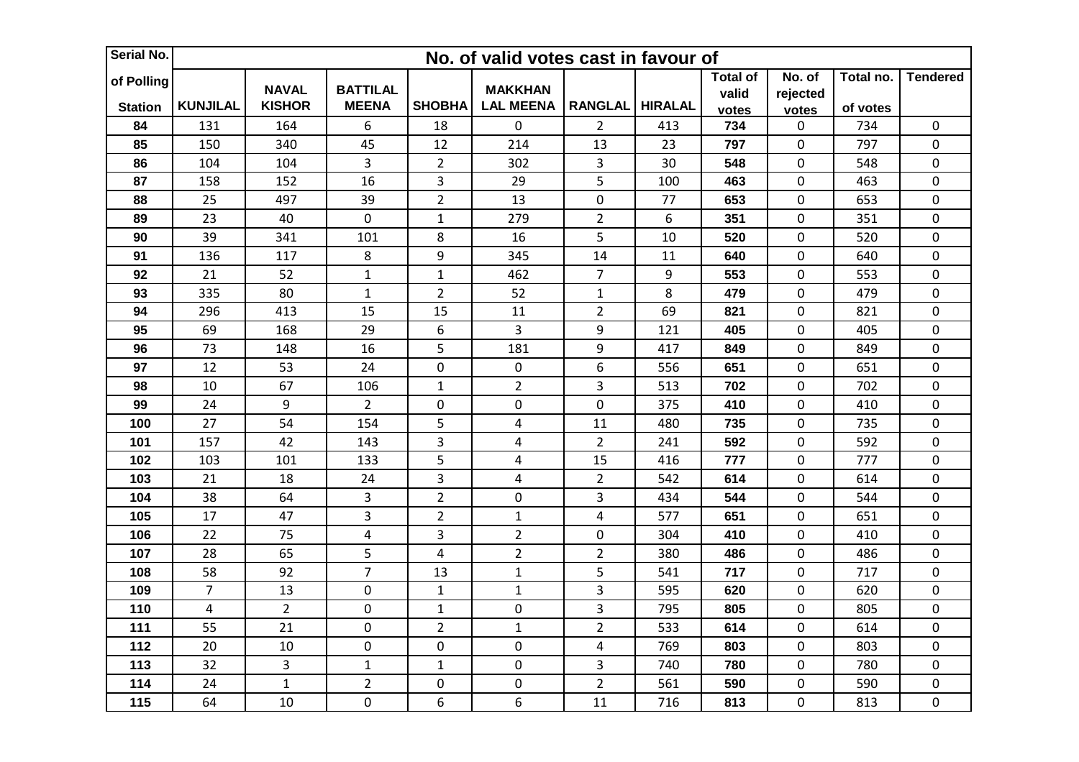| Serial No.                   |                 | No. of valid votes cast in favour of |                                 |                         |                                    |                  |                |                                   |                             |                       |                  |  |  |
|------------------------------|-----------------|--------------------------------------|---------------------------------|-------------------------|------------------------------------|------------------|----------------|-----------------------------------|-----------------------------|-----------------------|------------------|--|--|
| of Polling<br><b>Station</b> | <b>KUNJILAL</b> | <b>NAVAL</b><br><b>KISHOR</b>        | <b>BATTILAL</b><br><b>MEENA</b> | <b>SHOBHA</b>           | <b>MAKKHAN</b><br><b>LAL MEENA</b> | <b>RANGLAL</b>   | <b>HIRALAL</b> | <b>Total of</b><br>valid<br>votes | No. of<br>rejected<br>votes | Total no.<br>of votes | <b>Tendered</b>  |  |  |
| 84                           | 131             | 164                                  | 6                               | 18                      | $\pmb{0}$                          | $\overline{2}$   | 413            | 734                               | 0                           | 734                   | $\mathbf 0$      |  |  |
| 85                           | 150             | 340                                  | 45                              | 12                      | 214                                | 13               | 23             | 797                               | 0                           | 797                   | $\pmb{0}$        |  |  |
| 86                           | 104             | 104                                  | 3                               | $\overline{2}$          | 302                                | 3                | 30             | 548                               | 0                           | 548                   | $\boldsymbol{0}$ |  |  |
| 87                           | 158             | 152                                  | 16                              | 3                       | 29                                 | 5                | 100            | 463                               | 0                           | 463                   | $\pmb{0}$        |  |  |
| 88                           | 25              | 497                                  | 39                              | $\overline{2}$          | 13                                 | $\boldsymbol{0}$ | 77             | 653                               | 0                           | 653                   | $\pmb{0}$        |  |  |
| 89                           | 23              | 40                                   | $\pmb{0}$                       | $\mathbf{1}$            | 279                                | $\overline{2}$   | 6              | 351                               | 0                           | 351                   | $\pmb{0}$        |  |  |
| 90                           | 39              | 341                                  | 101                             | 8                       | 16                                 | 5                | 10             | 520                               | 0                           | 520                   | $\boldsymbol{0}$ |  |  |
| 91                           | 136             | 117                                  | 8                               | 9                       | 345                                | 14               | 11             | 640                               | 0                           | 640                   | $\boldsymbol{0}$ |  |  |
| 92                           | 21              | 52                                   | $\mathbf 1$                     | $\mathbf{1}$            | 462                                | $\overline{7}$   | 9              | 553                               | 0                           | 553                   | $\pmb{0}$        |  |  |
| 93                           | 335             | 80                                   | $\mathbf{1}$                    | $\overline{2}$          | 52                                 | $\mathbf 1$      | 8              | 479                               | 0                           | 479                   | $\mathbf 0$      |  |  |
| 94                           | 296             | 413                                  | 15                              | 15                      | 11                                 | $\overline{2}$   | 69             | 821                               | 0                           | 821                   | $\pmb{0}$        |  |  |
| 95                           | 69              | 168                                  | 29                              | 6                       | 3                                  | 9                | 121            | 405                               | 0                           | 405                   | $\pmb{0}$        |  |  |
| 96                           | 73              | 148                                  | 16                              | 5                       | 181                                | 9                | 417            | 849                               | 0                           | 849                   | $\mathbf 0$      |  |  |
| 97                           | 12              | 53                                   | 24                              | $\pmb{0}$               | $\mathbf 0$                        | 6                | 556            | 651                               | 0                           | 651                   | $\pmb{0}$        |  |  |
| 98                           | 10              | 67                                   | 106                             | $\mathbf{1}$            | $\overline{2}$                     | $\mathbf{3}$     | 513            | 702                               | 0                           | 702                   | $\boldsymbol{0}$ |  |  |
| 99                           | 24              | 9                                    | $\overline{2}$                  | $\pmb{0}$               | $\pmb{0}$                          | $\mathbf 0$      | 375            | 410                               | 0                           | 410                   | $\pmb{0}$        |  |  |
| 100                          | 27              | 54                                   | 154                             | 5                       | $\overline{\mathbf{4}}$            | 11               | 480            | 735                               | 0                           | 735                   | $\pmb{0}$        |  |  |
| 101                          | 157             | 42                                   | 143                             | 3                       | 4                                  | $\overline{2}$   | 241            | 592                               | 0                           | 592                   | $\pmb{0}$        |  |  |
| 102                          | 103             | 101                                  | 133                             | 5                       | $\overline{\mathbf{4}}$            | 15               | 416            | 777                               | 0                           | 777                   | $\boldsymbol{0}$ |  |  |
| 103                          | 21              | 18                                   | 24                              | $\overline{\mathbf{3}}$ | $\overline{\mathbf{4}}$            | $\overline{2}$   | 542            | 614                               | 0                           | 614                   | $\pmb{0}$        |  |  |
| 104                          | 38              | 64                                   | 3                               | $\overline{2}$          | $\mathbf 0$                        | 3                | 434            | 544                               | 0                           | 544                   | $\pmb{0}$        |  |  |
| 105                          | 17              | 47                                   | $\overline{3}$                  | $\overline{2}$          | $\mathbf{1}$                       | $\pmb{4}$        | 577            | 651                               | 0                           | 651                   | $\mathbf 0$      |  |  |
| 106                          | 22              | 75                                   | $\pmb{4}$                       | 3                       | $\overline{2}$                     | $\mathbf 0$      | 304            | 410                               | 0                           | 410                   | $\pmb{0}$        |  |  |
| 107                          | 28              | 65                                   | 5                               | 4                       | $\overline{2}$                     | $\overline{2}$   | 380            | 486                               | 0                           | 486                   | $\pmb{0}$        |  |  |
| 108                          | 58              | 92                                   | $\overline{7}$                  | 13                      | $\mathbf{1}$                       | 5                | 541            | 717                               | 0                           | 717                   | $\mathbf 0$      |  |  |
| 109                          | $\overline{7}$  | 13                                   | $\pmb{0}$                       | $\mathbf{1}$            | $\mathbf 1$                        | $\overline{3}$   | 595            | 620                               | 0                           | 620                   | $\pmb{0}$        |  |  |
| 110                          | $\overline{4}$  | $\overline{2}$                       | $\pmb{0}$                       | $\mathbf{1}$            | $\mathbf 0$                        | 3                | 795            | 805                               | 0                           | 805                   | $\mathbf 0$      |  |  |
| 111                          | 55              | 21                                   | $\mathbf 0$                     | $\overline{2}$          | $\mathbf 1$                        | $\overline{2}$   | 533            | 614                               | 0                           | 614                   | $\pmb{0}$        |  |  |
| 112                          | 20              | 10                                   | $\pmb{0}$                       | $\pmb{0}$               | $\mathbf 0$                        | $\pmb{4}$        | 769            | 803                               | 0                           | 803                   | $\pmb{0}$        |  |  |
| 113                          | 32              | 3                                    | $\mathbf 1$                     | $\mathbf{1}$            | $\pmb{0}$                          | 3                | 740            | 780                               | 0                           | 780                   | $\boldsymbol{0}$ |  |  |
| 114                          | 24              | $\mathbf 1$                          | $\overline{2}$                  | $\mathbf 0$             | $\pmb{0}$                          | $\overline{2}$   | 561            | 590                               | 0                           | 590                   | $\boldsymbol{0}$ |  |  |
| 115                          | 64              | 10                                   | $\pmb{0}$                       | 6                       | 6                                  | 11               | 716            | 813                               | 0                           | 813                   | $\mathbf 0$      |  |  |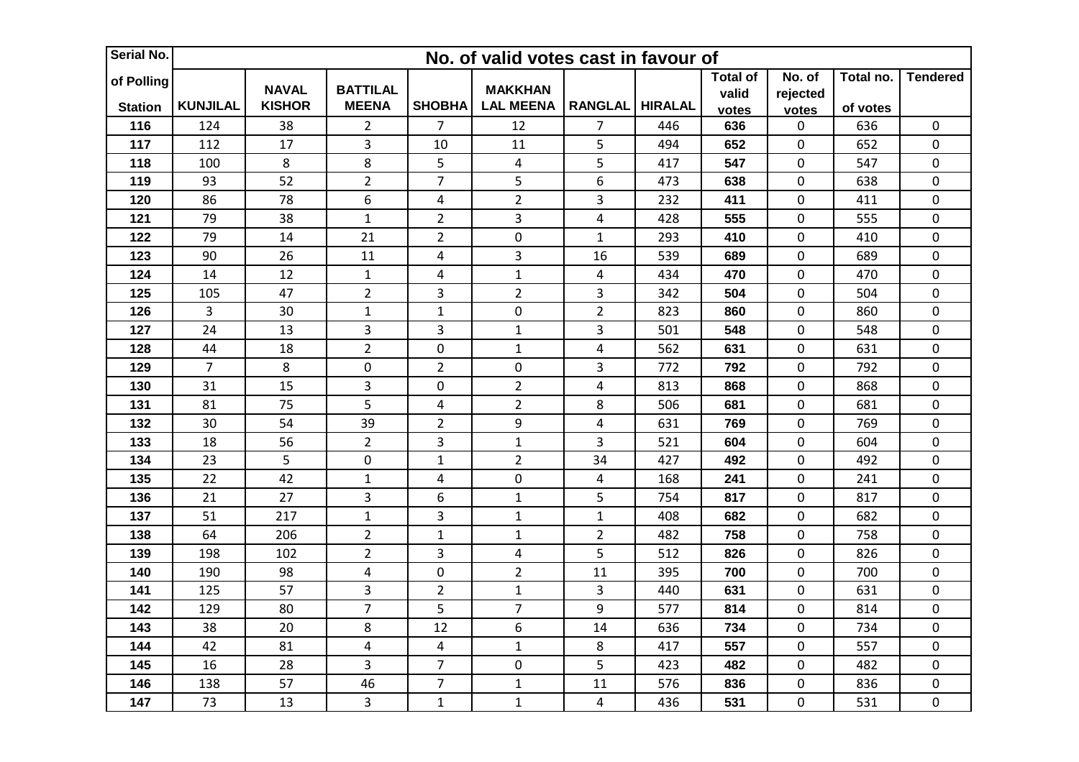| Serial No.                   |                 | No. of valid votes cast in favour of |                                 |                |                                    |                |                |                                   |                             |                       |                  |  |
|------------------------------|-----------------|--------------------------------------|---------------------------------|----------------|------------------------------------|----------------|----------------|-----------------------------------|-----------------------------|-----------------------|------------------|--|
| of Polling<br><b>Station</b> | <b>KUNJILAL</b> | <b>NAVAL</b><br><b>KISHOR</b>        | <b>BATTILAL</b><br><b>MEENA</b> | <b>SHOBHA</b>  | <b>MAKKHAN</b><br><b>LAL MEENA</b> | <b>RANGLAL</b> | <b>HIRALAL</b> | <b>Total of</b><br>valid<br>votes | No. of<br>rejected<br>votes | Total no.<br>of votes | <b>Tendered</b>  |  |
| 116                          | 124             | 38                                   | $\overline{2}$                  | $\overline{7}$ | 12                                 | $\overline{7}$ | 446            | 636                               | 0                           | 636                   | $\mathbf 0$      |  |
| 117                          | 112             | 17                                   | 3                               | 10             | 11                                 | 5              | 494            | 652                               | 0                           | 652                   | $\pmb{0}$        |  |
| 118                          | 100             | 8                                    | $\bf 8$                         | 5              | $\overline{\mathbf{r}}$            | 5              | 417            | 547                               | 0                           | 547                   | $\boldsymbol{0}$ |  |
| 119                          | 93              | 52                                   | $\overline{2}$                  | $\overline{7}$ | 5                                  | 6              | 473            | 638                               | 0                           | 638                   | $\pmb{0}$        |  |
| 120                          | 86              | 78                                   | 6                               | $\overline{4}$ | $\overline{2}$                     | 3              | 232            | 411                               | 0                           | 411                   | $\pmb{0}$        |  |
| 121                          | 79              | 38                                   | $\mathbf 1$                     | $\overline{2}$ | 3                                  | 4              | 428            | 555                               | 0                           | 555                   | $\pmb{0}$        |  |
| 122                          | 79              | 14                                   | 21                              | $\overline{2}$ | $\pmb{0}$                          | $\mathbf 1$    | 293            | 410                               | 0                           | 410                   | $\boldsymbol{0}$ |  |
| 123                          | 90              | 26                                   | 11                              | 4              | 3                                  | 16             | 539            | 689                               | 0                           | 689                   | $\boldsymbol{0}$ |  |
| 124                          | 14              | 12                                   | $\mathbf 1$                     | 4              | $\mathbf{1}$                       | 4              | 434            | 470                               | 0                           | 470                   | $\mathbf 0$      |  |
| 125                          | 105             | 47                                   | $\overline{2}$                  | $\overline{3}$ | $\overline{2}$                     | 3              | 342            | 504                               | 0                           | 504                   | $\mathbf 0$      |  |
| 126                          | 3               | 30                                   | $\mathbf 1$                     | $\mathbf{1}$   | $\mathbf 0$                        | $\overline{2}$ | 823            | 860                               | 0                           | 860                   | $\pmb{0}$        |  |
| 127                          | 24              | 13                                   | 3                               | 3              | $\mathbf 1$                        | 3              | 501            | 548                               | 0                           | 548                   | $\mathbf 0$      |  |
| 128                          | 44              | 18                                   | $\overline{2}$                  | $\mathbf 0$    | $\mathbf{1}$                       | $\pmb{4}$      | 562            | 631                               | 0                           | 631                   | $\mathbf 0$      |  |
| 129                          | $\overline{7}$  | 8                                    | $\mathbf 0$                     | $\overline{2}$ | $\pmb{0}$                          | 3              | 772            | 792                               | 0                           | 792                   | $\pmb{0}$        |  |
| 130                          | 31              | 15                                   | 3                               | 0              | $\overline{2}$                     | $\overline{4}$ | 813            | 868                               | 0                           | 868                   | $\boldsymbol{0}$ |  |
| 131                          | 81              | 75                                   | 5                               | $\overline{4}$ | $\overline{2}$                     | 8              | 506            | 681                               | 0                           | 681                   | $\pmb{0}$        |  |
| 132                          | 30              | 54                                   | 39                              | $\overline{2}$ | 9                                  | $\pmb{4}$      | 631            | 769                               | 0                           | 769                   | $\pmb{0}$        |  |
| 133                          | 18              | 56                                   | $\overline{2}$                  | 3              | $\mathbf{1}$                       | 3              | 521            | 604                               | 0                           | 604                   | $\pmb{0}$        |  |
| 134                          | 23              | 5                                    | $\pmb{0}$                       | $\mathbf{1}$   | $\overline{2}$                     | 34             | 427            | 492                               | 0                           | 492                   | $\mathbf 0$      |  |
| 135                          | 22              | 42                                   | $\mathbf 1$                     | 4              | $\pmb{0}$                          | $\pmb{4}$      | 168            | 241                               | 0                           | 241                   | $\pmb{0}$        |  |
| 136                          | 21              | 27                                   | 3                               | 6              | $\mathbf 1$                        | 5              | 754            | 817                               | 0                           | 817                   | $\pmb{0}$        |  |
| 137                          | 51              | 217                                  | $\mathbf 1$                     | $\overline{3}$ | $\mathbf 1$                        | $\mathbf{1}$   | 408            | 682                               | 0                           | 682                   | $\mathbf 0$      |  |
| 138                          | 64              | 206                                  | $\overline{2}$                  | $\mathbf{1}$   | $\mathbf 1$                        | $\overline{2}$ | 482            | 758                               | 0                           | 758                   | $\pmb{0}$        |  |
| 139                          | 198             | 102                                  | $\overline{2}$                  | 3              | 4                                  | 5              | 512            | 826                               | 0                           | 826                   | $\pmb{0}$        |  |
| 140                          | 190             | 98                                   | $\pmb{4}$                       | $\pmb{0}$      | $\overline{2}$                     | 11             | 395            | 700                               | 0                           | 700                   | $\mathbf 0$      |  |
| 141                          | 125             | 57                                   | 3                               | $\overline{2}$ | $\mathbf 1$                        | 3              | 440            | 631                               | 0                           | 631                   | $\pmb{0}$        |  |
| 142                          | 129             | 80                                   | $\overline{7}$                  | 5              | $\overline{7}$                     | 9              | 577            | 814                               | 0                           | 814                   | $\mathbf 0$      |  |
| 143                          | 38              | 20                                   | 8                               | 12             | 6                                  | 14             | 636            | 734                               | 0                           | 734                   | $\pmb{0}$        |  |
| 144                          | 42              | 81                                   | $\overline{\mathbf{4}}$         | $\overline{4}$ | $\mathbf 1$                        | 8              | 417            | 557                               | 0                           | 557                   | $\pmb{0}$        |  |
| 145                          | 16              | 28                                   | 3                               | $\overline{7}$ | $\mathbf 0$                        | 5              | 423            | 482                               | 0                           | 482                   | $\boldsymbol{0}$ |  |
| 146                          | 138             | 57                                   | 46                              | $\overline{7}$ | $\mathbf 1$                        | 11             | 576            | 836                               | 0                           | 836                   | $\boldsymbol{0}$ |  |
| 147                          | 73              | 13                                   | 3                               | $\mathbf{1}$   | $\mathbf 1$                        | $\pmb{4}$      | 436            | 531                               | 0                           | 531                   | $\boldsymbol{0}$ |  |